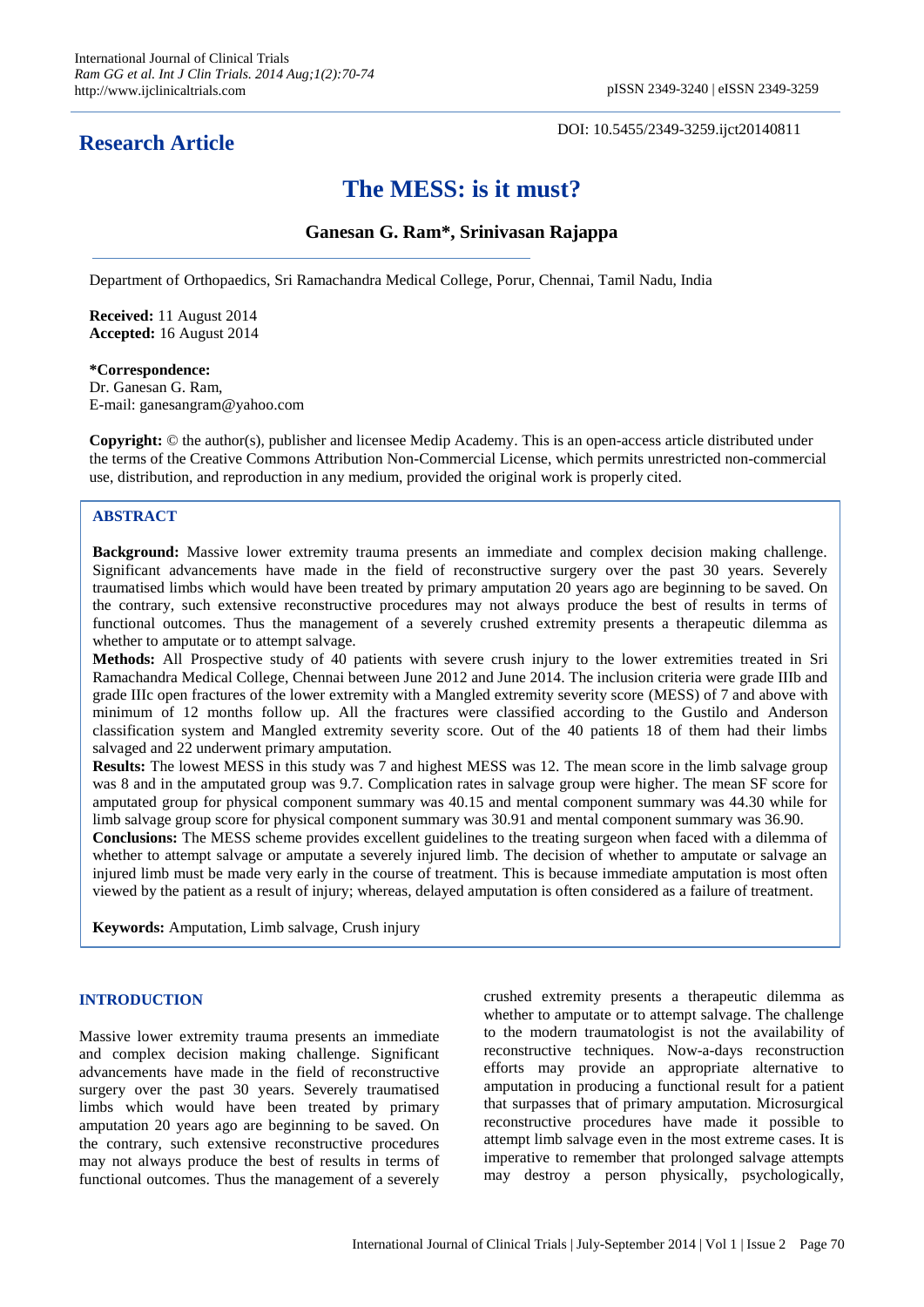## **Research Article**

DOI: 10.5455/2349-3259.ijct20140811

# **The MESS: is it must?**

## **Ganesan G. Ram\*, Srinivasan Rajappa**

Department of Orthopaedics, Sri Ramachandra Medical College, Porur, Chennai, Tamil Nadu, India

**Received:** 11 August 2014 **Accepted:** 16 August 2014

**\*Correspondence:**

Dr. Ganesan G. Ram, E-mail: ganesangram@yahoo.com

**Copyright:** © the author(s), publisher and licensee Medip Academy. This is an open-access article distributed under the terms of the Creative Commons Attribution Non-Commercial License, which permits unrestricted non-commercial use, distribution, and reproduction in any medium, provided the original work is properly cited.

## **ABSTRACT**

**Background:** Massive lower extremity trauma presents an immediate and complex decision making challenge. Significant advancements have made in the field of reconstructive surgery over the past 30 years. Severely traumatised limbs which would have been treated by primary amputation 20 years ago are beginning to be saved. On the contrary, such extensive reconstructive procedures may not always produce the best of results in terms of functional outcomes. Thus the management of a severely crushed extremity presents a therapeutic dilemma as whether to amputate or to attempt salvage.

**Methods:** All Prospective study of 40 patients with severe crush injury to the lower extremities treated in Sri Ramachandra Medical College, Chennai between June 2012 and June 2014. The inclusion criteria were grade IIIb and grade IIIc open fractures of the lower extremity with a Mangled extremity severity score (MESS) of 7 and above with minimum of 12 months follow up. All the fractures were classified according to the Gustilo and Anderson classification system and Mangled extremity severity score. Out of the 40 patients 18 of them had their limbs salvaged and 22 underwent primary amputation.

**Results:** The lowest MESS in this study was 7 and highest MESS was 12. The mean score in the limb salvage group was 8 and in the amputated group was 9.7. Complication rates in salvage group were higher. The mean SF score for amputated group for physical component summary was 40.15 and mental component summary was 44.30 while for limb salvage group score for physical component summary was 30.91 and mental component summary was 36.90.

**Conclusions:** The MESS scheme provides excellent guidelines to the treating surgeon when faced with a dilemma of whether to attempt salvage or amputate a severely injured limb. The decision of whether to amputate or salvage an injured limb must be made very early in the course of treatment. This is because immediate amputation is most often viewed by the patient as a result of injury; whereas, delayed amputation is often considered as a failure of treatment.

**Keywords:** Amputation, Limb salvage, Crush injury

#### **INTRODUCTION**

Massive lower extremity trauma presents an immediate and complex decision making challenge. Significant advancements have made in the field of reconstructive surgery over the past 30 years. Severely traumatised limbs which would have been treated by primary amputation 20 years ago are beginning to be saved. On the contrary, such extensive reconstructive procedures may not always produce the best of results in terms of functional outcomes. Thus the management of a severely crushed extremity presents a therapeutic dilemma as whether to amputate or to attempt salvage. The challenge to the modern traumatologist is not the availability of reconstructive techniques. Now-a-days reconstruction efforts may provide an appropriate alternative to amputation in producing a functional result for a patient that surpasses that of primary amputation. Microsurgical reconstructive procedures have made it possible to attempt limb salvage even in the most extreme cases. It is imperative to remember that prolonged salvage attempts may destroy a person physically, psychologically,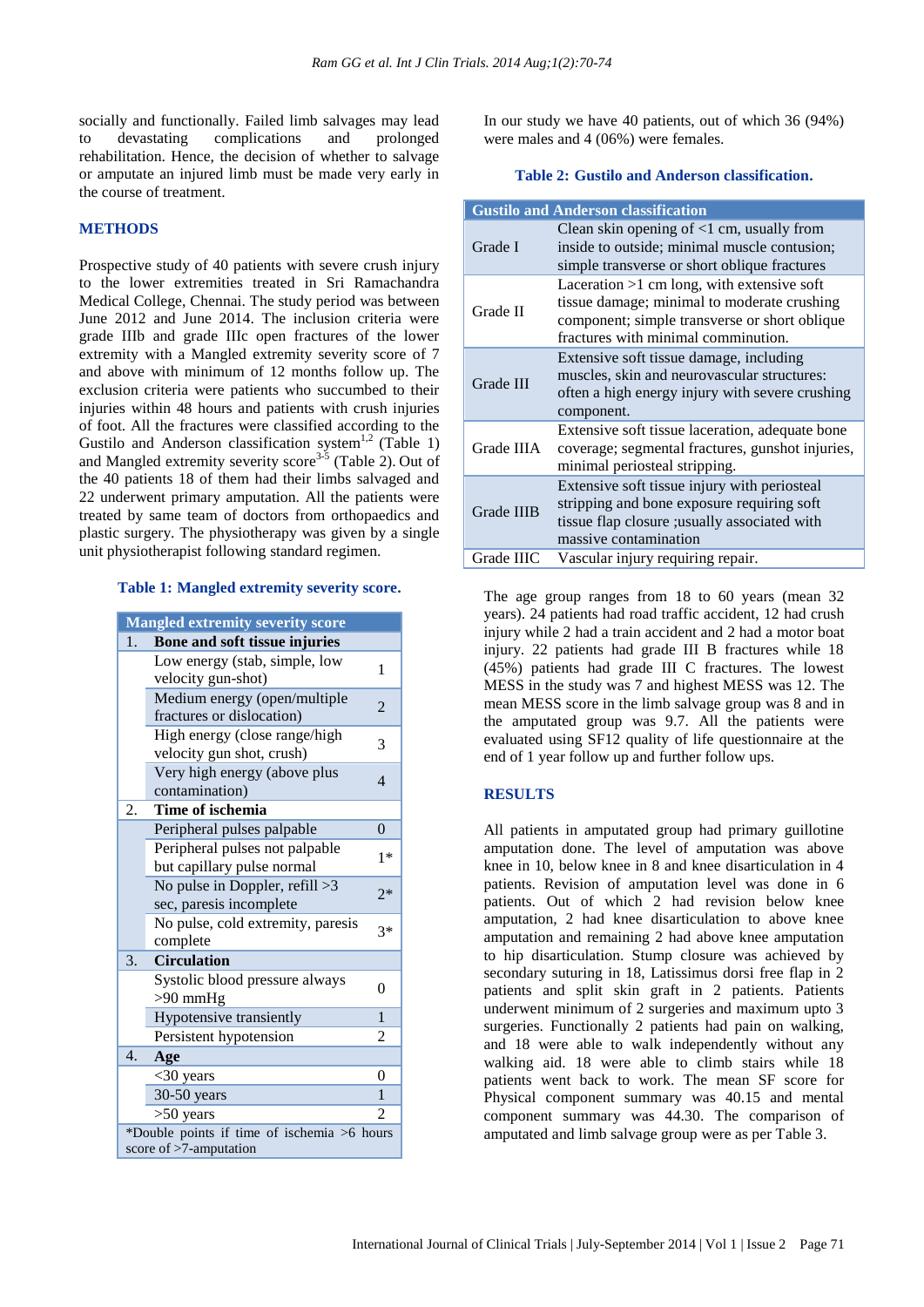socially and functionally. Failed limb salvages may lead to devastating complications and prolonged rehabilitation. Hence, the decision of whether to salvage or amputate an injured limb must be made very early in the course of treatment.

#### **METHODS**

Prospective study of 40 patients with severe crush injury to the lower extremities treated in Sri Ramachandra Medical College, Chennai. The study period was between June 2012 and June 2014. The inclusion criteria were grade IIIb and grade IIIc open fractures of the lower extremity with a Mangled extremity severity score of 7 and above with minimum of 12 months follow up. The exclusion criteria were patients who succumbed to their injuries within 48 hours and patients with crush injuries of foot. All the fractures were classified according to the Gustilo and Anderson classification system<sup>1,2</sup> (Table 1) and Mangled extremity severity score<sup>3-5</sup> (Table 2). Out of the 40 patients 18 of them had their limbs salvaged and 22 underwent primary amputation. All the patients were treated by same team of doctors from orthopaedics and plastic surgery. The physiotherapy was given by a single unit physiotherapist following standard regimen.

#### **Table 1: Mangled extremity severity score.**

|                                                                          | <b>Mangled extremity severity score</b>                      |                |  |  |  |  |
|--------------------------------------------------------------------------|--------------------------------------------------------------|----------------|--|--|--|--|
| 1.                                                                       | Bone and soft tissue injuries                                |                |  |  |  |  |
|                                                                          | Low energy (stab, simple, low<br>velocity gun-shot)          | 1              |  |  |  |  |
|                                                                          | Medium energy (open/multiple<br>fractures or dislocation)    | 2              |  |  |  |  |
|                                                                          | High energy (close range/high<br>velocity gun shot, crush)   | 3              |  |  |  |  |
|                                                                          | Very high energy (above plus<br>contamination)               | 4              |  |  |  |  |
| 2.                                                                       | Time of ischemia                                             |                |  |  |  |  |
|                                                                          | Peripheral pulses palpable                                   | $\theta$       |  |  |  |  |
|                                                                          | Peripheral pulses not palpable<br>but capillary pulse normal |                |  |  |  |  |
|                                                                          | No pulse in Doppler, refill $>3$<br>sec, paresis incomplete  |                |  |  |  |  |
|                                                                          | No pulse, cold extremity, paresis<br>complete                | $3*$           |  |  |  |  |
| 3.                                                                       | <b>Circulation</b>                                           |                |  |  |  |  |
|                                                                          | Systolic blood pressure always<br>$>90$ mmHg                 | $\theta$       |  |  |  |  |
|                                                                          | Hypotensive transiently                                      | $\mathbf{1}$   |  |  |  |  |
|                                                                          | Persistent hypotension                                       | $\overline{c}$ |  |  |  |  |
| 4.                                                                       | Age                                                          |                |  |  |  |  |
|                                                                          | $<$ 30 years                                                 | 0              |  |  |  |  |
|                                                                          | $30-50$ years                                                | $\mathbf{1}$   |  |  |  |  |
|                                                                          | $>50$ years                                                  | $\mathfrak{D}$ |  |  |  |  |
| *Double points if time of ischemia >6 hours<br>score of $>7$ -amputation |                                                              |                |  |  |  |  |

In our study we have 40 patients, out of which 36 (94%) were males and 4 (06%) were females.

#### **Table 2: Gustilo and Anderson classification.**

|                   | <b>Gustilo and Anderson classification</b>                                                                                                                                          |
|-------------------|-------------------------------------------------------------------------------------------------------------------------------------------------------------------------------------|
| Grade I           | Clean skin opening of $\leq 1$ cm, usually from<br>inside to outside; minimal muscle contusion;<br>simple transverse or short oblique fractures                                     |
| Grade II          | Laceration $>1$ cm long, with extensive soft<br>tissue damage; minimal to moderate crushing<br>component; simple transverse or short oblique<br>fractures with minimal comminution. |
| Grade III         | Extensive soft tissue damage, including<br>muscles, skin and neurovascular structures:<br>often a high energy injury with severe crushing<br>component.                             |
| Grade IIIA        | Extensive soft tissue laceration, adequate bone<br>coverage; segmental fractures, gunshot injuries,<br>minimal periosteal stripping.                                                |
| <b>Grade IIIB</b> | Extensive soft tissue injury with periosteal<br>stripping and bone exposure requiring soft<br>tissue flap closure ; usually associated with<br>massive contamination                |
| Grade IIIC        | Vascular injury requiring repair.                                                                                                                                                   |

The age group ranges from 18 to 60 years (mean 32 years). 24 patients had road traffic accident, 12 had crush injury while 2 had a train accident and 2 had a motor boat injury. 22 patients had grade III B fractures while 18 (45%) patients had grade III C fractures. The lowest MESS in the study was 7 and highest MESS was 12. The mean MESS score in the limb salvage group was 8 and in the amputated group was 9.7. All the patients were evaluated using SF12 quality of life questionnaire at the end of 1 year follow up and further follow ups.

## **RESULTS**

All patients in amputated group had primary guillotine amputation done. The level of amputation was above knee in 10, below knee in 8 and knee disarticulation in 4 patients. Revision of amputation level was done in 6 patients. Out of which 2 had revision below knee amputation, 2 had knee disarticulation to above knee amputation and remaining 2 had above knee amputation to hip disarticulation. Stump closure was achieved by secondary suturing in 18, Latissimus dorsi free flap in 2 patients and split skin graft in 2 patients. Patients underwent minimum of 2 surgeries and maximum upto 3 surgeries. Functionally 2 patients had pain on walking, and 18 were able to walk independently without any walking aid. 18 were able to climb stairs while 18 patients went back to work. The mean SF score for Physical component summary was 40.15 and mental component summary was 44.30. The comparison of amputated and limb salvage group were as per Table 3.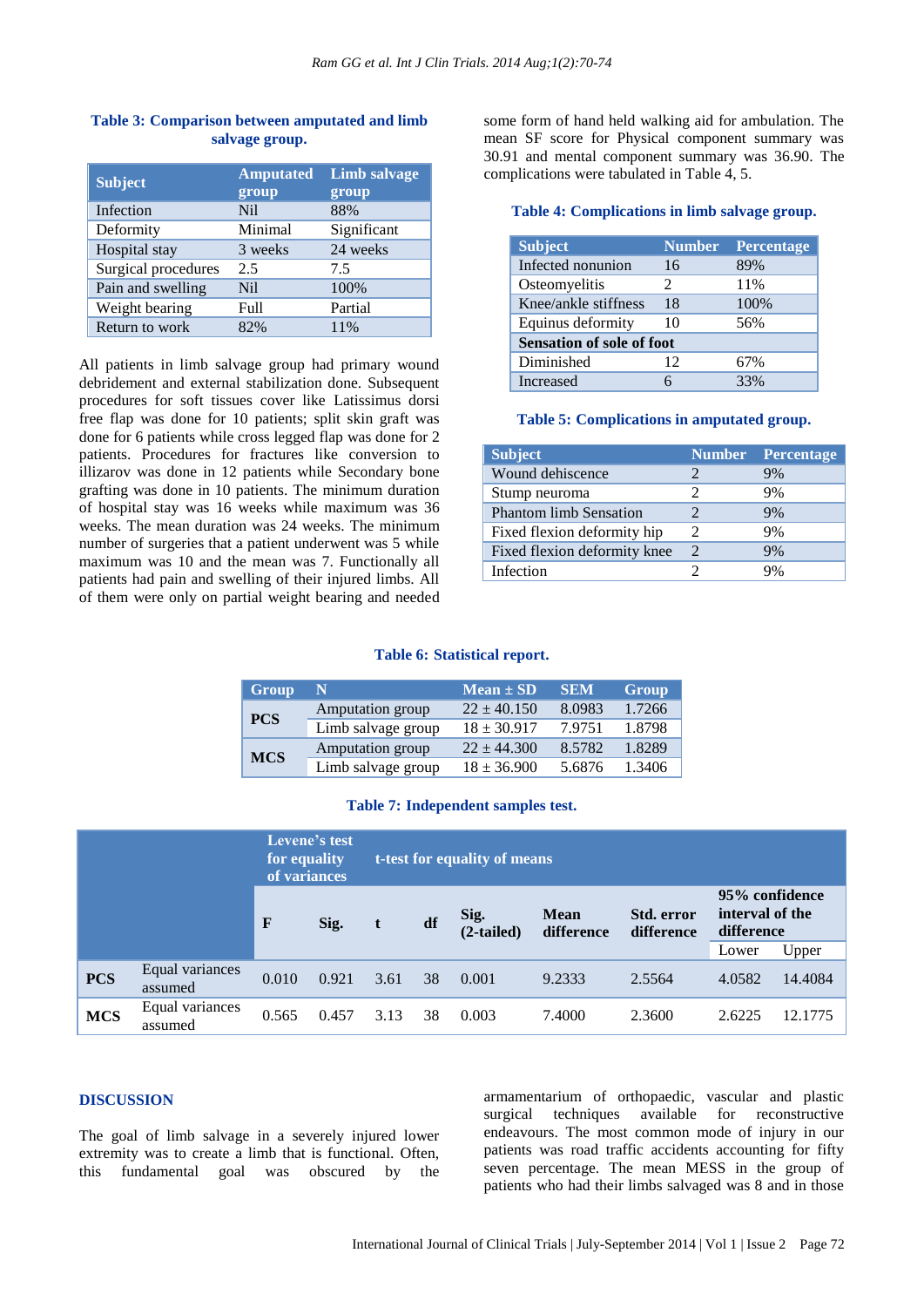| <b>Subject</b>      | <b>Amputated</b><br>group | Limb salvage<br>group |  |  |
|---------------------|---------------------------|-----------------------|--|--|
| Infection           | N <sub>i</sub>            | 88%                   |  |  |
| Deformity           | Minimal                   | Significant           |  |  |
| Hospital stay       | 3 weeks                   | 24 weeks              |  |  |
| Surgical procedures | 2.5                       | 7.5                   |  |  |
| Pain and swelling   | Nil.                      | 100%                  |  |  |
| Weight bearing      | Full                      | Partial               |  |  |
| Return to work      | 82%                       | 11%                   |  |  |

### **Table 3: Comparison between amputated and limb salvage group.**

All patients in limb salvage group had primary wound debridement and external stabilization done. Subsequent procedures for soft tissues cover like Latissimus dorsi free flap was done for 10 patients; split skin graft was done for 6 patients while cross legged flap was done for 2 patients. Procedures for fractures like conversion to illizarov was done in 12 patients while Secondary bone grafting was done in 10 patients. The minimum duration of hospital stay was 16 weeks while maximum was 36 weeks. The mean duration was 24 weeks. The minimum number of surgeries that a patient underwent was 5 while maximum was 10 and the mean was 7. Functionally all patients had pain and swelling of their injured limbs. All of them were only on partial weight bearing and needed

some form of hand held walking aid for ambulation. The mean SF score for Physical component summary was 30.91 and mental component summary was 36.90. The complications were tabulated in Table 4, 5.

#### **Table 4: Complications in limb salvage group.**

| <b>Subject</b>                   | <b>Number</b> | <b>Percentage</b> |  |  |  |  |
|----------------------------------|---------------|-------------------|--|--|--|--|
| Infected nonunion                | 16            | 89%               |  |  |  |  |
| Osteomyelitis                    | 2             | 11%               |  |  |  |  |
| Knee/ankle stiffness             | 18            | 100%              |  |  |  |  |
| Equinus deformity                | 10            | 56%               |  |  |  |  |
| <b>Sensation of sole of foot</b> |               |                   |  |  |  |  |
| Diminished                       | 12            | 67%               |  |  |  |  |
| <b>Increased</b>                 | 6             | 33%               |  |  |  |  |

#### **Table 5: Complications in amputated group.**

| <b>Subject</b>                | <b>Number</b>               | <b>Percentage</b> |
|-------------------------------|-----------------------------|-------------------|
| Wound dehiscence              |                             | 9%                |
| Stump neuroma                 |                             | 9%                |
| <b>Phantom limb Sensation</b> |                             | 9%                |
| Fixed flexion deformity hip   | 2                           | 9%                |
| Fixed flexion deformity knee  | $\mathcal{D}_{\mathcal{A}}$ | 9%                |
| Infection                     |                             | 9%                |

#### **Table 6: Statistical report.**

| Group      | N                  | $Mean \pm SD$   | <b>SEM</b> | Group  |
|------------|--------------------|-----------------|------------|--------|
| <b>PCS</b> | Amputation group   | $22 \pm 40.150$ | 8.0983     | 1.7266 |
|            | Limb salvage group | $18 \pm 30.917$ | 7.9751     | 1.8798 |
| <b>MCS</b> | Amputation group   | $22 \pm 44.300$ | 8.5782     | 1.8289 |
|            | Limb salvage group | $18 \pm 36.900$ | 5.6876     | 1.3406 |

## **Table 7: Independent samples test.**

|            |                            | for equality<br>of variances | Levene's test | t-test for equality of means |    |                      |                           |                          |                                                 |         |
|------------|----------------------------|------------------------------|---------------|------------------------------|----|----------------------|---------------------------|--------------------------|-------------------------------------------------|---------|
|            |                            | F                            | Sig.          |                              | df | Sig.<br>$(2-tailed)$ | <b>Mean</b><br>difference | Std. error<br>difference | 95% confidence<br>interval of the<br>difference |         |
|            |                            |                              |               |                              |    |                      |                           |                          | Lower                                           | Upper   |
| <b>PCS</b> | Equal variances<br>assumed | 0.010                        | 0.921         | 3.61                         | 38 | 0.001                | 9.2333                    | 2.5564                   | 4.0582                                          | 14.4084 |
| <b>MCS</b> | Equal variances<br>assumed | 0.565                        | 0.457         | 3.13                         | 38 | 0.003                | 7.4000                    | 2.3600                   | 2.6225                                          | 12.1775 |

#### **DISCUSSION**

The goal of limb salvage in a severely injured lower extremity was to create a limb that is functional. Often, this fundamental goal was obscured by the armamentarium of orthopaedic, vascular and plastic surgical techniques available for reconstructive endeavours. The most common mode of injury in our patients was road traffic accidents accounting for fifty seven percentage. The mean MESS in the group of patients who had their limbs salvaged was 8 and in those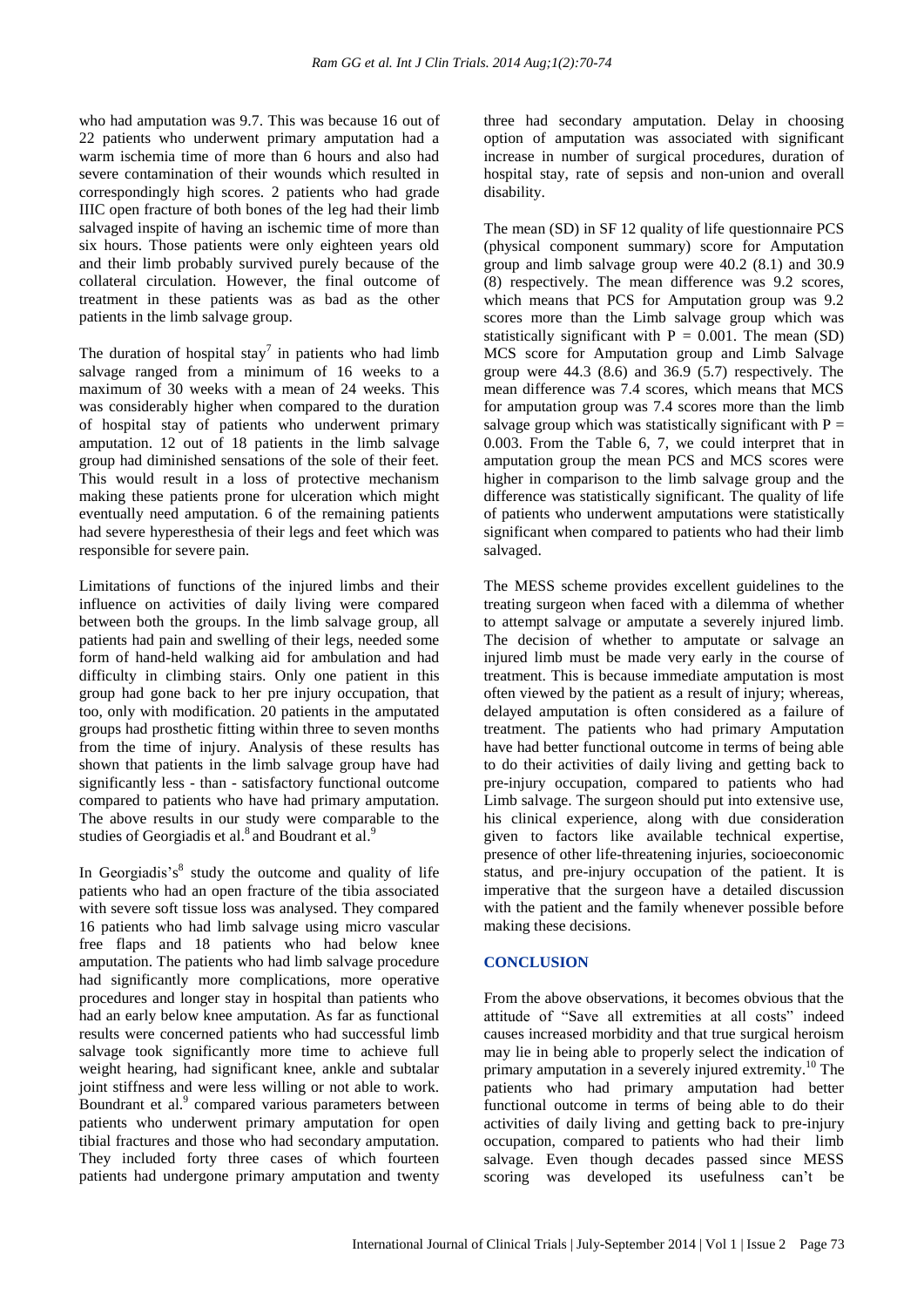who had amputation was 9.7. This was because 16 out of 22 patients who underwent primary amputation had a warm ischemia time of more than 6 hours and also had severe contamination of their wounds which resulted in correspondingly high scores. 2 patients who had grade IIIC open fracture of both bones of the leg had their limb salvaged inspite of having an ischemic time of more than six hours. Those patients were only eighteen years old and their limb probably survived purely because of the collateral circulation. However, the final outcome of treatment in these patients was as bad as the other patients in the limb salvage group.

The duration of hospital stay<sup>7</sup> in patients who had limb salvage ranged from a minimum of 16 weeks to a maximum of 30 weeks with a mean of 24 weeks. This was considerably higher when compared to the duration of hospital stay of patients who underwent primary amputation. 12 out of 18 patients in the limb salvage group had diminished sensations of the sole of their feet. This would result in a loss of protective mechanism making these patients prone for ulceration which might eventually need amputation. 6 of the remaining patients had severe hyperesthesia of their legs and feet which was responsible for severe pain.

Limitations of functions of the injured limbs and their influence on activities of daily living were compared between both the groups. In the limb salvage group, all patients had pain and swelling of their legs, needed some form of hand-held walking aid for ambulation and had difficulty in climbing stairs. Only one patient in this group had gone back to her pre injury occupation, that too, only with modification. 20 patients in the amputated groups had prosthetic fitting within three to seven months from the time of injury. Analysis of these results has shown that patients in the limb salvage group have had significantly less - than - satisfactory functional outcome compared to patients who have had primary amputation. The above results in our study were comparable to the studies of Georgiadis et al.<sup>8</sup> and Boudrant et al.<sup>9</sup>

In Georgiadis's<sup>8</sup> study the outcome and quality of life patients who had an open fracture of the tibia associated with severe soft tissue loss was analysed. They compared 16 patients who had limb salvage using micro vascular free flaps and 18 patients who had below knee amputation. The patients who had limb salvage procedure had significantly more complications, more operative procedures and longer stay in hospital than patients who had an early below knee amputation. As far as functional results were concerned patients who had successful limb salvage took significantly more time to achieve full weight hearing, had significant knee, ankle and subtalar joint stiffness and were less willing or not able to work. Boundrant et al.<sup>9</sup> compared various parameters between patients who underwent primary amputation for open tibial fractures and those who had secondary amputation. They included forty three cases of which fourteen patients had undergone primary amputation and twenty three had secondary amputation. Delay in choosing option of amputation was associated with significant increase in number of surgical procedures, duration of hospital stay, rate of sepsis and non-union and overall disability.

The mean (SD) in SF 12 quality of life questionnaire PCS (physical component summary) score for Amputation group and limb salvage group were 40.2 (8.1) and 30.9 (8) respectively. The mean difference was 9.2 scores, which means that PCS for Amputation group was 9.2 scores more than the Limb salvage group which was statistically significant with  $P = 0.001$ . The mean (SD) MCS score for Amputation group and Limb Salvage group were 44.3 (8.6) and 36.9 (5.7) respectively. The mean difference was 7.4 scores, which means that MCS for amputation group was 7.4 scores more than the limb salvage group which was statistically significant with  $P =$ 0.003. From the Table 6, 7, we could interpret that in amputation group the mean PCS and MCS scores were higher in comparison to the limb salvage group and the difference was statistically significant. The quality of life of patients who underwent amputations were statistically significant when compared to patients who had their limb salvaged.

The MESS scheme provides excellent guidelines to the treating surgeon when faced with a dilemma of whether to attempt salvage or amputate a severely injured limb. The decision of whether to amputate or salvage an injured limb must be made very early in the course of treatment. This is because immediate amputation is most often viewed by the patient as a result of injury; whereas, delayed amputation is often considered as a failure of treatment. The patients who had primary Amputation have had better functional outcome in terms of being able to do their activities of daily living and getting back to pre-injury occupation, compared to patients who had Limb salvage. The surgeon should put into extensive use, his clinical experience, along with due consideration given to factors like available technical expertise, presence of other life-threatening injuries, socioeconomic status, and pre-injury occupation of the patient. It is imperative that the surgeon have a detailed discussion with the patient and the family whenever possible before making these decisions.

## **CONCLUSION**

From the above observations, it becomes obvious that the attitude of "Save all extremities at all costs" indeed causes increased morbidity and that true surgical heroism may lie in being able to properly select the indication of primary amputation in a severely injured extremity. <sup>10</sup> The patients who had primary amputation had better functional outcome in terms of being able to do their activities of daily living and getting back to pre-injury occupation, compared to patients who had their limb salvage. Even though decades passed since MESS scoring was developed its usefulness can't be